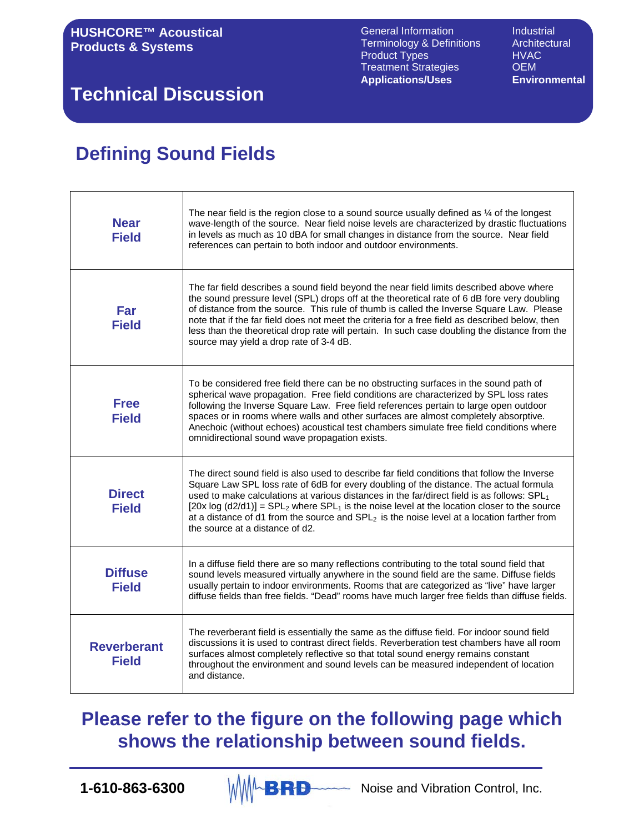# **Technical Discussion**

# **Defining Sound Fields**

| <b>Near</b><br><b>Field</b>        | The near field is the region close to a sound source usually defined as $\frac{1}{4}$ of the longest<br>wave-length of the source. Near field noise levels are characterized by drastic fluctuations<br>in levels as much as 10 dBA for small changes in distance from the source. Near field<br>references can pertain to both indoor and outdoor environments.                                                                                                                                                                                     |
|------------------------------------|------------------------------------------------------------------------------------------------------------------------------------------------------------------------------------------------------------------------------------------------------------------------------------------------------------------------------------------------------------------------------------------------------------------------------------------------------------------------------------------------------------------------------------------------------|
| Far<br><b>Field</b>                | The far field describes a sound field beyond the near field limits described above where<br>the sound pressure level (SPL) drops off at the theoretical rate of 6 dB fore very doubling<br>of distance from the source. This rule of thumb is called the Inverse Square Law. Please<br>note that if the far field does not meet the criteria for a free field as described below, then<br>less than the theoretical drop rate will pertain. In such case doubling the distance from the<br>source may yield a drop rate of 3-4 dB.                   |
| <b>Free</b><br><b>Field</b>        | To be considered free field there can be no obstructing surfaces in the sound path of<br>spherical wave propagation. Free field conditions are characterized by SPL loss rates<br>following the Inverse Square Law. Free field references pertain to large open outdoor<br>spaces or in rooms where walls and other surfaces are almost completely absorptive.<br>Anechoic (without echoes) acoustical test chambers simulate free field conditions where<br>omnidirectional sound wave propagation exists.                                          |
| <b>Direct</b><br><b>Field</b>      | The direct sound field is also used to describe far field conditions that follow the Inverse<br>Square Law SPL loss rate of 6dB for every doubling of the distance. The actual formula<br>used to make calculations at various distances in the far/direct field is as follows: $SPL_1$<br>[20x log $(d2/d1)$ ] = SPL <sub>2</sub> where SPL <sub>1</sub> is the noise level at the location closer to the source<br>at a distance of d1 from the source and $SPL2$ is the noise level at a location farther from<br>the source at a distance of d2. |
| <b>Diffuse</b><br><b>Field</b>     | In a diffuse field there are so many reflections contributing to the total sound field that<br>sound levels measured virtually anywhere in the sound field are the same. Diffuse fields<br>usually pertain to indoor environments. Rooms that are categorized as "live" have larger<br>diffuse fields than free fields. "Dead" rooms have much larger free fields than diffuse fields.                                                                                                                                                               |
| <b>Reverberant</b><br><b>Field</b> | The reverberant field is essentially the same as the diffuse field. For indoor sound field<br>discussions it is used to contrast direct fields. Reverberation test chambers have all room<br>surfaces almost completely reflective so that total sound energy remains constant<br>throughout the environment and sound levels can be measured independent of location<br>and distance.                                                                                                                                                               |

**Please refer to the figure on the following page which shows the relationship between sound fields.**

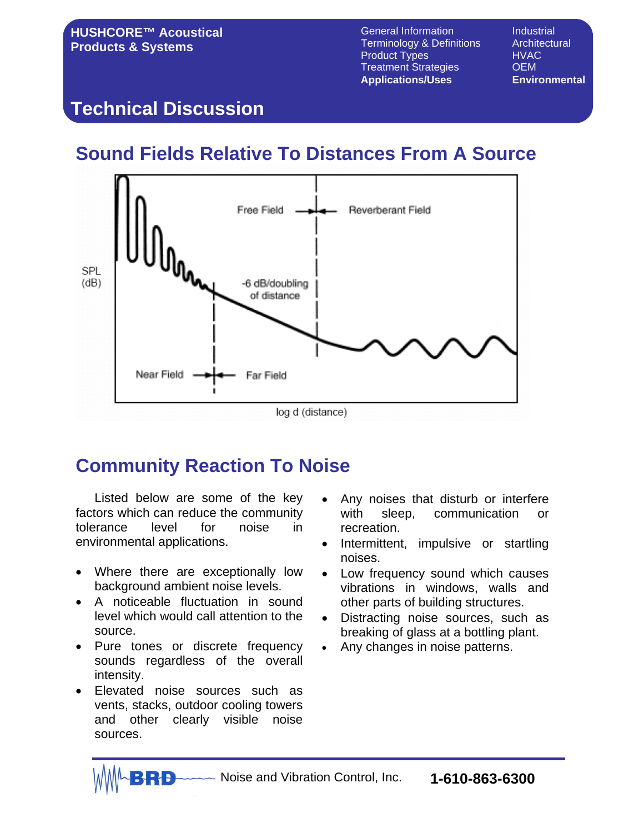## **Technical Discussion**

# **Sound Fields Relative To Distances From A Source**



# **Community Reaction To Noise**

Listed below are some of the key factors which can reduce the community tolerance level for noise in environmental applications.

- Where there are exceptionally low background ambient noise levels.
- A noticeable fluctuation in sound level which would call attention to the source.
- Pure tones or discrete frequency sounds regardless of the overall intensity.
- Elevated noise sources such as vents, stacks, outdoor cooling towers and other clearly visible noise sources.
- Any noises that disturb or interfere with sleep, communication or recreation.
- Intermittent, impulsive or startling noises.
- Low frequency sound which causes vibrations in windows, walls and other parts of building structures.
- Distracting noise sources, such as breaking of glass at a bottling plant.
- Any changes in noise patterns.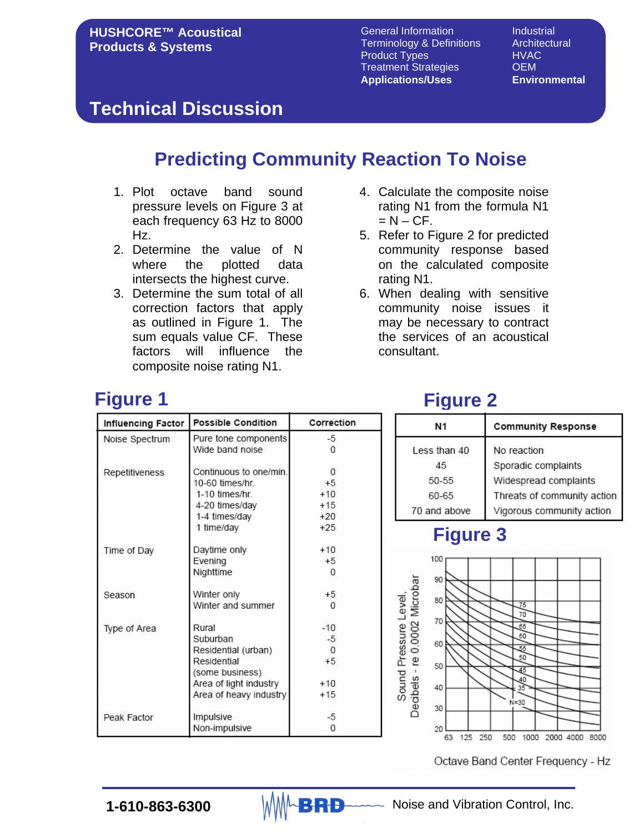#### **Technical Discussion**

# **Predicting Community Reaction To Noise**

- 1. Plot octave band sound pressure levels on Figure 3 at each frequency 63 Hz to 8000 Hz.
- 2. Determine the value of N where the plotted data intersects the highest curve.
- 3. Determine the sum total of all correction factors that apply as outlined in Figure 1. The sum equals value CF. These factors will influence the composite noise rating N1.
- 4. Calculate the composite noise rating N1 from the formula N1  $= N - C F$ .
- 5. Refer to Figure 2 for predicted community response based on the calculated composite rating N1.
- 6. When dealing with sensitive community noise issues it may be necessary to contract the services of an acoustical consultant.

# **Figure 1**

| <b>Influencing Factor</b> | <b>Possible Condition</b> | Correction |
|---------------------------|---------------------------|------------|
| Noise Spectrum            | Pure tone components      | -5         |
|                           | Wide band noise           | O          |
|                           |                           |            |
| Repetitiveness            | Continuous to one/min.    | 0          |
|                           | 10-60 times/hr            | $+5$       |
|                           | 1-10 times/hr.            | $+10$      |
|                           | 4-20 times/day            | $+15$      |
|                           | 1-4 times/day             | $+20$      |
|                           | 1 time/day                | $+25$      |
| Time of Day               | Daytime only              | $+10$      |
|                           | Evening                   | $+5$       |
|                           | Nighttime                 | O          |
|                           |                           |            |
| Season                    | Winter only               | $+5$       |
|                           | Winter and summer         | U          |
| Type of Area              | Rural                     | $-10$      |
|                           | Suburban                  | -5         |
|                           | Residential (urban)       | 0          |
|                           | Residential               | $+5$       |
|                           | (some business)           |            |
|                           | Area of light industry    | $+10$      |
|                           | Area of heavy industry    | $+15$      |
|                           |                           |            |
| Peak Factor               | Impulsive                 | -5         |
|                           | Non-impulsive             | 0          |

# **Figure 2**

| Ν1           | <b>Community Response</b>   |
|--------------|-----------------------------|
| Less than 40 | No reaction                 |
| 45           | Sporadic complaints         |
| 50-55        | Widespread complaints       |
| 60-65        | Threats of community action |
| 70 and above | Vigorous community action   |

#### **Figure 3**

Sound Pressure Level,



Octave Band Center Frequency - Hz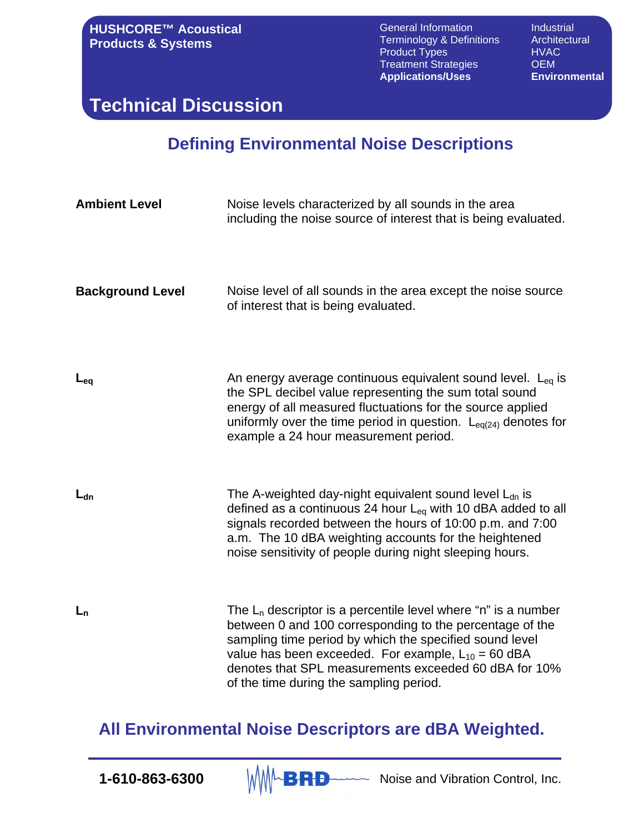**HUSHCORE™ Acoustical Products & Systems**

General Information **Industrial**<br>Terminology & Definitions Architectural Terminology & Definitions Archite<br>Product Types HVAC Product Types Treatment Strategies **OEM Applications/Uses Environmental**

**Technical Discussion**

#### **Defining Environmental Noise Descriptions**

| <b>Ambient Level</b>    | Noise levels characterized by all sounds in the area<br>including the noise source of interest that is being evaluated.                                                                                                                                                                                                                                |
|-------------------------|--------------------------------------------------------------------------------------------------------------------------------------------------------------------------------------------------------------------------------------------------------------------------------------------------------------------------------------------------------|
| <b>Background Level</b> | Noise level of all sounds in the area except the noise source<br>of interest that is being evaluated.                                                                                                                                                                                                                                                  |
| $L_{eq}$                | An energy average continuous equivalent sound level. $L_{eq}$ is<br>the SPL decibel value representing the sum total sound<br>energy of all measured fluctuations for the source applied<br>uniformly over the time period in question. $L_{eq(24)}$ denotes for<br>example a 24 hour measurement period.                                              |
| $L_{dn}$                | The A-weighted day-night equivalent sound level $L_{dn}$ is<br>defined as a continuous 24 hour $L_{eq}$ with 10 dBA added to all<br>signals recorded between the hours of 10:00 p.m. and 7:00<br>a.m. The 10 dBA weighting accounts for the heightened<br>noise sensitivity of people during night sleeping hours.                                     |
| $L_n$                   | The $L_n$ descriptor is a percentile level where "n" is a number<br>between 0 and 100 corresponding to the percentage of the<br>sampling time period by which the specified sound level<br>value has been exceeded. For example, $L_{10} = 60$ dBA<br>denotes that SPL measurements exceeded 60 dBA for 10%<br>of the time during the sampling period. |

#### **All Environmental Noise Descriptors are dBA Weighted.**

**1-610-863-6300**  $\mathbb{M} \mathbb{M} \rightarrow \mathbb{R}$  Noise and Vibration Control, Inc.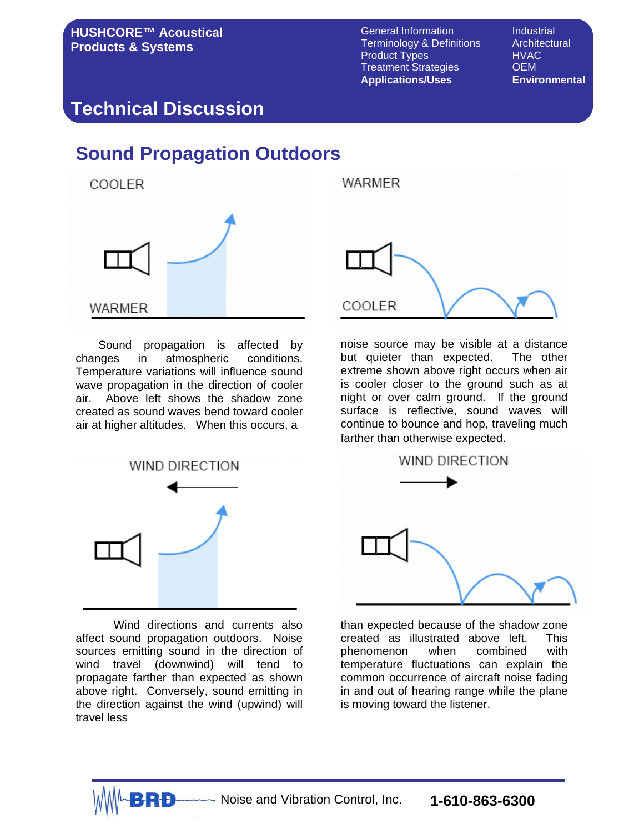#### **Technical Discussion**

#### **Sound Propagation Outdoors**



Sound propagation is affected by changes in atmospheric conditions. Temperature variations will influence sound wave propagation in the direction of cooler air. Above left shows the shadow zone created as sound waves bend toward cooler air at higher altitudes. When this occurs, a



Wind directions and currents also affect sound propagation outdoors. Noise sources emitting sound in the direction of wind travel (downwind) will tend to propagate farther than expected as shown above right. Conversely, sound emitting in the direction against the wind (upwind) will travel less



noise source may be visible at a distance but quieter than expected. The other extreme shown above right occurs when air is cooler closer to the ground such as at night or over calm ground. If the ground surface is reflective, sound waves will continue to bounce and hop, traveling much farther than otherwise expected.



than expected because of the shadow zone created as illustrated above left. This phenomenon when combined with temperature fluctuations can explain the common occurrence of aircraft noise fading in and out of hearing range while the plane is moving toward the listener.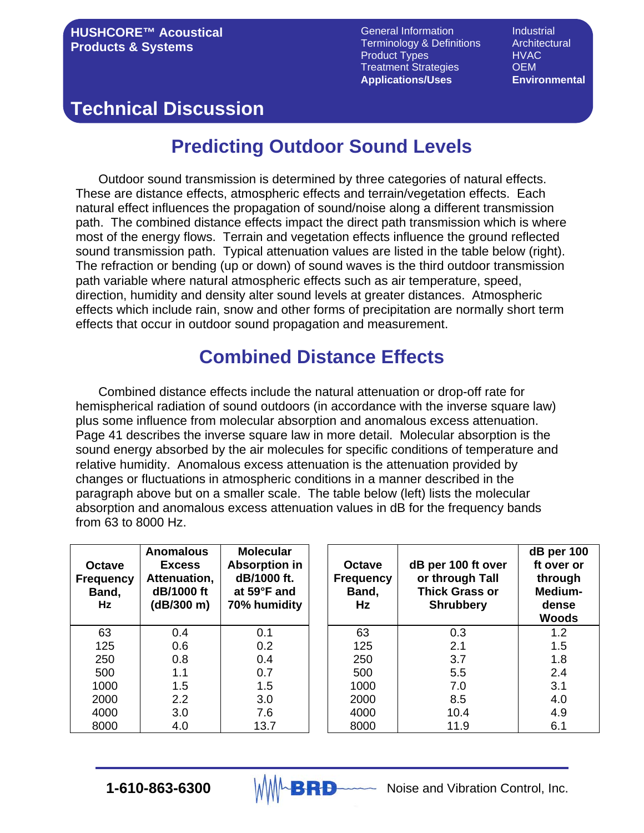# **Technical Discussion**

# **Predicting Outdoor Sound Levels**

Outdoor sound transmission is determined by three categories of natural effects. These are distance effects, atmospheric effects and terrain/vegetation effects. Each natural effect influences the propagation of sound/noise along a different transmission path. The combined distance effects impact the direct path transmission which is where most of the energy flows. Terrain and vegetation effects influence the ground reflected sound transmission path. Typical attenuation values are listed in the table below (right). The refraction or bending (up or down) of sound waves is the third outdoor transmission path variable where natural atmospheric effects such as air temperature, speed, direction, humidity and density alter sound levels at greater distances. Atmospheric effects which include rain, snow and other forms of precipitation are normally short term effects that occur in outdoor sound propagation and measurement.

# **Combined Distance Effects**

Combined distance effects include the natural attenuation or drop-off rate for hemispherical radiation of sound outdoors (in accordance with the inverse square law) plus some influence from molecular absorption and anomalous excess attenuation. Page 41 describes the inverse square law in more detail. Molecular absorption is the sound energy absorbed by the air molecules for specific conditions of temperature and relative humidity. Anomalous excess attenuation is the attenuation provided by changes or fluctuations in atmospheric conditions in a manner described in the paragraph above but on a smaller scale. The table below (left) lists the molecular absorption and anomalous excess attenuation values in dB for the frequency bands from 63 to 8000 Hz.

| <b>Octave</b><br><b>Frequency</b><br>Band,<br>Hz | <b>Anomalous</b><br><b>Excess</b><br>Attenuation,<br>dB/1000 ft<br>(dB/300 m) | <b>Molecular</b><br><b>Absorption in</b><br>dB/1000 ft.<br>at 59°F and<br>70% humidity | <b>Octave</b><br><b>Frequency</b><br>Band,<br>Hz. | dB per 100 ft over<br>or through Tall<br><b>Thick Grass or</b><br><b>Shrubbery</b> | dB per 100<br>ft over or<br>through<br>Medium-<br>dense<br><b>Woods</b> |
|--------------------------------------------------|-------------------------------------------------------------------------------|----------------------------------------------------------------------------------------|---------------------------------------------------|------------------------------------------------------------------------------------|-------------------------------------------------------------------------|
| 63                                               | 0.4                                                                           | 0.1                                                                                    | 63                                                | 0.3                                                                                | 1.2                                                                     |
| 125                                              | 0.6                                                                           | 0.2                                                                                    | 125                                               | 2.1                                                                                | 1.5                                                                     |
| 250                                              | 0.8                                                                           | 0.4                                                                                    | 250                                               | 3.7                                                                                | 1.8                                                                     |
| 500                                              | 1.1                                                                           | 0.7                                                                                    | 500                                               | 5.5                                                                                | 2.4                                                                     |
| 1000                                             | 1.5                                                                           | 1.5                                                                                    | 1000                                              | 7.0                                                                                | 3.1                                                                     |
| 2000                                             | 2.2                                                                           | 3.0                                                                                    | 2000                                              | 8.5                                                                                | 4.0                                                                     |
| 4000                                             | 3.0                                                                           | 7.6                                                                                    | 4000                                              | 10.4                                                                               | 4.9                                                                     |
| 8000                                             | 4.0                                                                           | 13.7                                                                                   | 8000                                              | 11.9                                                                               | 6.1                                                                     |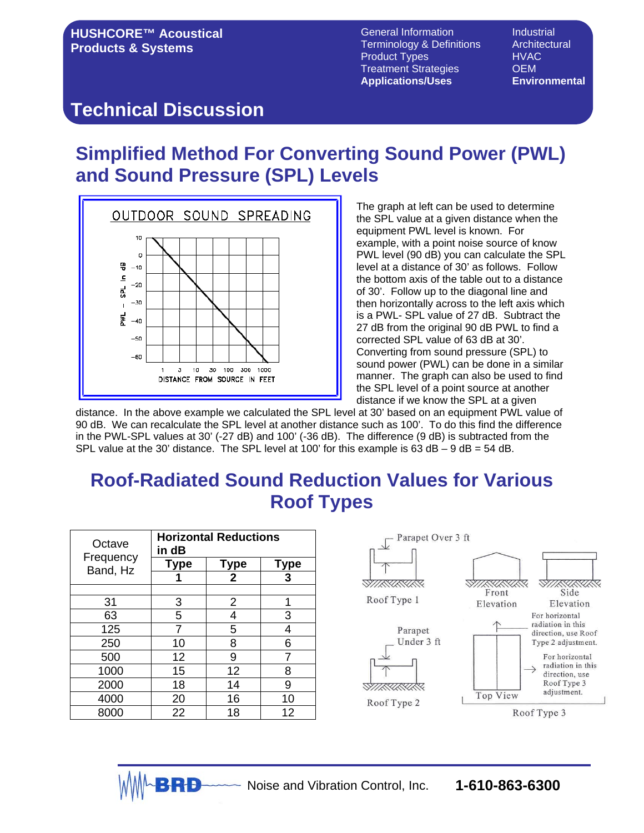General Information **Industrial** Terminology & Definitions Architectural Product Types **HVAC**<br>Treatment Strategies **CLA Treatment Strategies Applications/Uses Environmental**

#### **Technical Discussion**

# **Simplified Method For Converting Sound Power (PWL) and Sound Pressure (SPL) Levels**



The graph at left can be used to determine the SPL value at a given distance when the equipment PWL level is known. For example, with a point noise source of know PWL level (90 dB) you can calculate the SPL level at a distance of 30' as follows. Follow the bottom axis of the table out to a distance of 30'. Follow up to the diagonal line and then horizontally across to the left axis which is a PWL- SPL value of 27 dB. Subtract the 27 dB from the original 90 dB PWL to find a corrected SPL value of 63 dB at 30'. Converting from sound pressure (SPL) to sound power (PWL) can be done in a similar manner. The graph can also be used to find the SPL level of a point source at another distance if we know the SPL at a given

distance. In the above example we calculated the SPL level at 30' based on an equipment PWL value of 90 dB. We can recalculate the SPL level at another distance such as 100'. To do this find the difference in the PWL-SPL values at 30' (-27 dB) and 100' (-36 dB). The difference (9 dB) is subtracted from the SPL value at the 30' distance. The SPL level at 100' for this example is 63 dB  $-$  9 dB = 54 dB.

# **Roof-Radiated Sound Reduction Values for Various Roof Types**

| Octave                | <b>Horizontal Reductions</b><br>in dB |                |             |  |  |  |
|-----------------------|---------------------------------------|----------------|-------------|--|--|--|
| Frequency<br>Band, Hz | <b>Type</b>                           | <b>Type</b>    | <b>Type</b> |  |  |  |
|                       |                                       | $\overline{2}$ | 3           |  |  |  |
|                       |                                       |                |             |  |  |  |
| 31                    | 3                                     | $\overline{2}$ | 1           |  |  |  |
| 63                    | 5                                     | 4              | 3           |  |  |  |
| 125                   |                                       | 5              | 4           |  |  |  |
| 250                   | 10                                    | 8              | 6           |  |  |  |
| 500                   | 12                                    | 9              | 7           |  |  |  |
| 1000                  | 15                                    | 12             | 8           |  |  |  |
| 2000                  | 18                                    | 14             | 9           |  |  |  |
| 4000                  | 20                                    | 16             | 10          |  |  |  |
| 8000                  | 22                                    | 18             | 12          |  |  |  |

 $P$ 

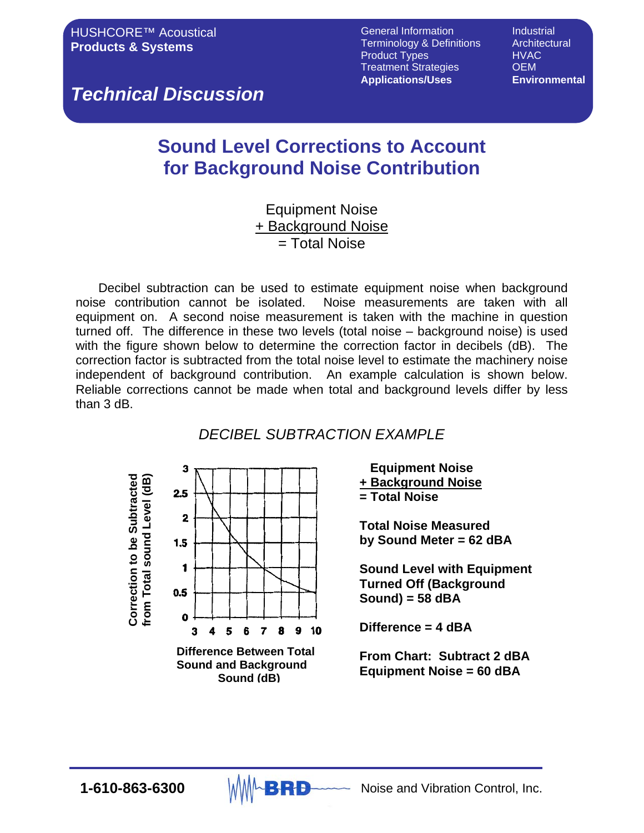*Technical Discussion*

# **Sound Level Corrections to Account for Background Noise Contribution**

#### Equipment Noise + Background Noise = Total Noise

Decibel subtraction can be used to estimate equipment noise when background noise contribution cannot be isolated. Noise measurements are taken with all equipment on. A second noise measurement is taken with the machine in question turned off. The difference in these two levels (total noise – background noise) is used with the figure shown below to determine the correction factor in decibels (dB). The correction factor is subtracted from the total noise level to estimate the machinery noise independent of background contribution. An example calculation is shown below. Reliable corrections cannot be made when total and background levels differ by less than 3 dB.

#### *DECIBEL SUBTRACTION EXAMPLE*



 **Equipment Noise + Background Noise = Total Noise**

**Total Noise Measured by Sound Meter = 62 dBA**

**Sound Level with Equipment Turned Off (Background Sound) = 58 dBA**

**Difference = 4 dBA**

**From Chart: Subtract 2 dBA Equipment Noise = 60 dBA**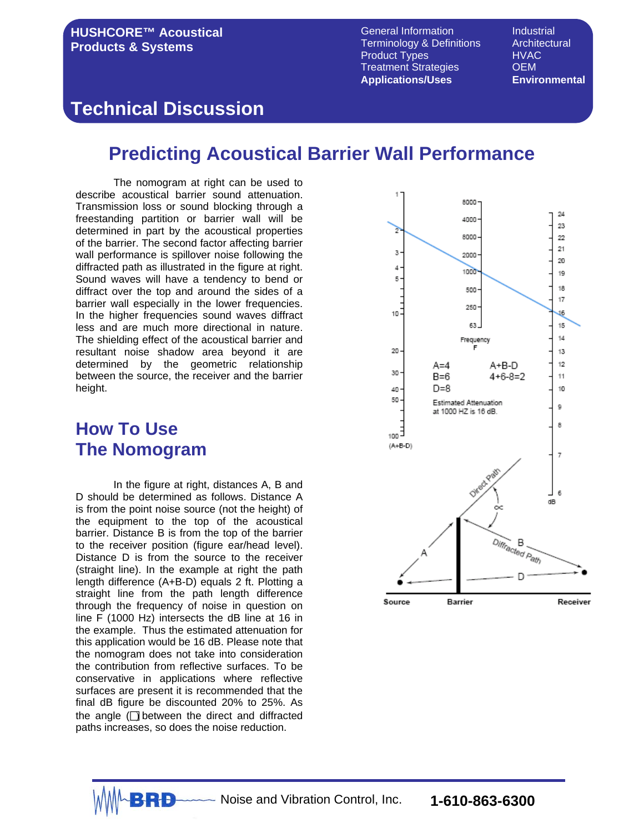#### **HUSHCORE™ Acoustical Products & Systems**

General Information **Industrial**<br>Terminology & Definitions Architectural Terminology & Definitions Product Types HVAC Treatment Strategies **OEM Applications/Uses Environmental**

#### **Technical Discussion**

#### **Predicting Acoustical Barrier Wall Performance**

The nomogram at right can be used to describe acoustical barrier sound attenuation. Transmission loss or sound blocking through a freestanding partition or barrier wall will be determined in part by the acoustical properties of the barrier. The second factor affecting barrier wall performance is spillover noise following the diffracted path as illustrated in the figure at right. Sound waves will have a tendency to bend or diffract over the top and around the sides of a barrier wall especially in the lower frequencies. In the higher frequencies sound waves diffract less and are much more directional in nature. The shielding effect of the acoustical barrier and resultant noise shadow area beyond it are determined by the geometric relationship between the source, the receiver and the barrier height.

#### **How To Use The Nomogram**

In the figure at right, distances A, B and D should be determined as follows. Distance A is from the point noise source (not the height) of the equipment to the top of the acoustical barrier. Distance B is from the top of the barrier to the receiver position (figure ear/head level). Distance D is from the source to the receiver (straight line). In the example at right the path length difference (A+B-D) equals 2 ft. Plotting a straight line from the path length difference through the frequency of noise in question on line F (1000 Hz) intersects the dB line at 16 in the example. Thus the estimated attenuation for this application would be 16 dB. Please note that the nomogram does not take into consideration the contribution from reflective surfaces. To be conservative in applications where reflective surfaces are present it is recommended that the final dB figure be discounted 20% to 25%. As the angle  $\Box$  between the direct and diffracted paths increases, so does the noise reduction.